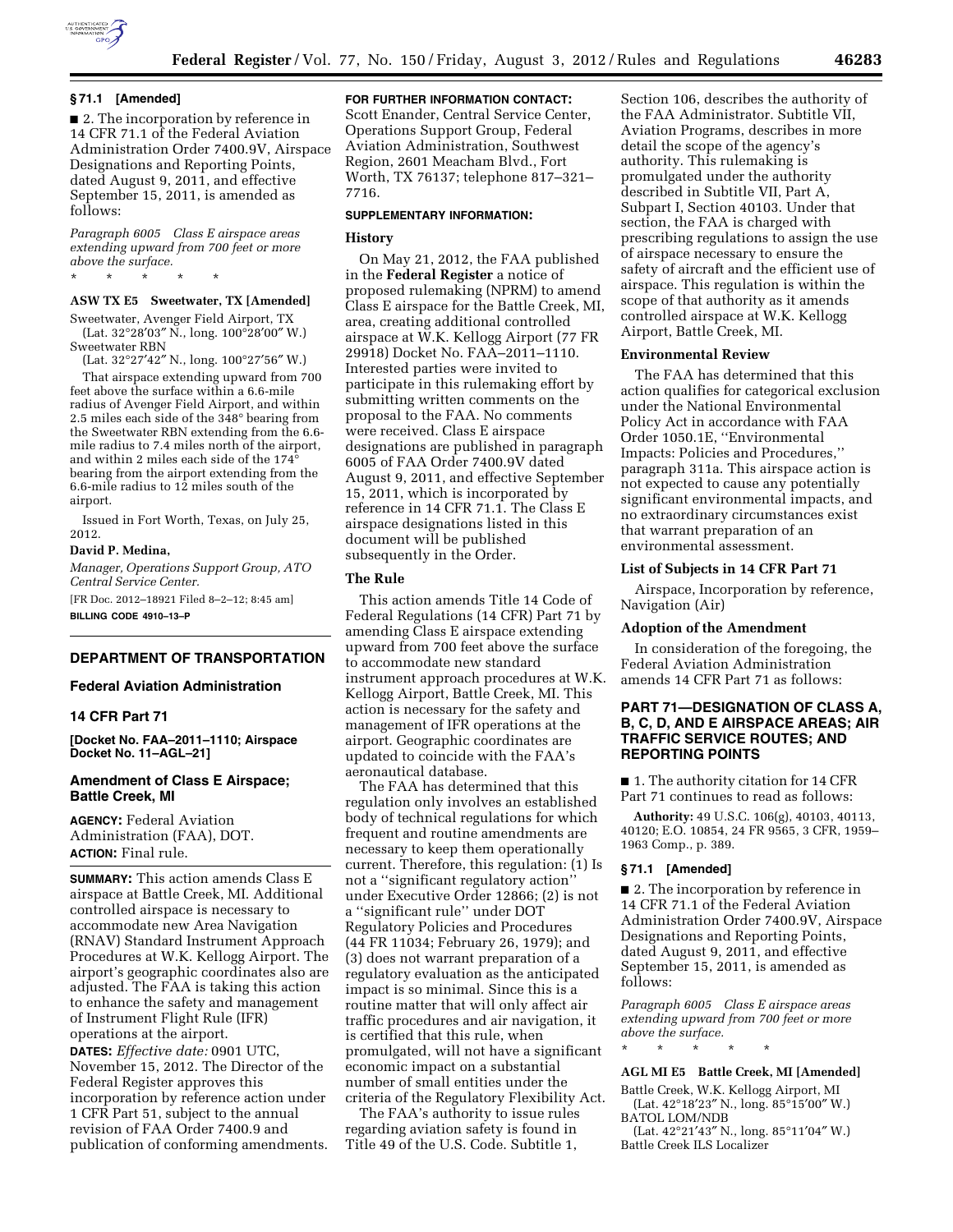

■ 2. The incorporation by reference in 14 CFR 71.1 of the Federal Aviation Administration Order 7400.9V, Airspace Designations and Reporting Points, dated August 9, 2011, and effective September 15, 2011, is amended as follows:

*Paragraph 6005 Class E airspace areas extending upward from 700 feet or more above the surface.* 

\* \* \* \* \*

# **ASW TX E5 Sweetwater, TX [Amended]**

Sweetwater, Avenger Field Airport, TX (Lat. 32°28′03″ N., long. 100°28′00″ W.) Sweetwater RBN

(Lat. 32°27′42″ N., long. 100°27′56″ W.)

That airspace extending upward from 700 feet above the surface within a 6.6-mile radius of Avenger Field Airport, and within 2.5 miles each side of the 348° bearing from the Sweetwater RBN extending from the 6.6 mile radius to 7.4 miles north of the airport, and within 2 miles each side of the 174° bearing from the airport extending from the 6.6-mile radius to 12 miles south of the airport.

Issued in Fort Worth, Texas, on July 25, 2012.

#### **David P. Medina,**

*Manager, Operations Support Group, ATO Central Service Center.* 

[FR Doc. 2012–18921 Filed 8–2–12; 8:45 am] **BILLING CODE 4910–13–P** 

## **DEPARTMENT OF TRANSPORTATION**

#### **Federal Aviation Administration**

#### **14 CFR Part 71**

**[Docket No. FAA–2011–1110; Airspace Docket No. 11–AGL–21]** 

## **Amendment of Class E Airspace; Battle Creek, MI**

**AGENCY:** Federal Aviation Administration (FAA), DOT. **ACTION:** Final rule.

**SUMMARY:** This action amends Class E airspace at Battle Creek, MI. Additional controlled airspace is necessary to accommodate new Area Navigation (RNAV) Standard Instrument Approach Procedures at W.K. Kellogg Airport. The airport's geographic coordinates also are adjusted. The FAA is taking this action to enhance the safety and management of Instrument Flight Rule (IFR) operations at the airport.

**DATES:** *Effective date:* 0901 UTC, November 15, 2012. The Director of the Federal Register approves this incorporation by reference action under 1 CFR Part 51, subject to the annual revision of FAA Order 7400.9 and publication of conforming amendments.

#### **FOR FURTHER INFORMATION CONTACT:**

Scott Enander, Central Service Center, Operations Support Group, Federal Aviation Administration, Southwest Region, 2601 Meacham Blvd., Fort Worth, TX 76137; telephone 817–321– 7716.

#### **SUPPLEMENTARY INFORMATION:**

## **History**

On May 21, 2012, the FAA published in the **Federal Register** a notice of proposed rulemaking (NPRM) to amend Class E airspace for the Battle Creek, MI, area, creating additional controlled airspace at W.K. Kellogg Airport (77 FR 29918) Docket No. FAA–2011–1110. Interested parties were invited to participate in this rulemaking effort by submitting written comments on the proposal to the FAA. No comments were received. Class E airspace designations are published in paragraph 6005 of FAA Order 7400.9V dated August 9, 2011, and effective September 15, 2011, which is incorporated by reference in 14 CFR 71.1. The Class E airspace designations listed in this document will be published subsequently in the Order.

## **The Rule**

This action amends Title 14 Code of Federal Regulations (14 CFR) Part 71 by amending Class E airspace extending upward from 700 feet above the surface to accommodate new standard instrument approach procedures at W.K. Kellogg Airport, Battle Creek, MI. This action is necessary for the safety and management of IFR operations at the airport. Geographic coordinates are updated to coincide with the FAA's aeronautical database.

The FAA has determined that this regulation only involves an established body of technical regulations for which frequent and routine amendments are necessary to keep them operationally current. Therefore, this regulation: (1) Is not a ''significant regulatory action'' under Executive Order 12866; (2) is not a ''significant rule'' under DOT Regulatory Policies and Procedures (44 FR 11034; February 26, 1979); and (3) does not warrant preparation of a regulatory evaluation as the anticipated impact is so minimal. Since this is a routine matter that will only affect air traffic procedures and air navigation, it is certified that this rule, when promulgated, will not have a significant economic impact on a substantial number of small entities under the criteria of the Regulatory Flexibility Act.

The FAA's authority to issue rules regarding aviation safety is found in Title 49 of the U.S. Code. Subtitle 1,

Section 106, describes the authority of the FAA Administrator. Subtitle VII, Aviation Programs, describes in more detail the scope of the agency's authority. This rulemaking is promulgated under the authority described in Subtitle VII, Part A, Subpart I, Section 40103. Under that section, the FAA is charged with prescribing regulations to assign the use of airspace necessary to ensure the safety of aircraft and the efficient use of airspace. This regulation is within the scope of that authority as it amends controlled airspace at W.K. Kellogg Airport, Battle Creek, MI.

#### **Environmental Review**

The FAA has determined that this action qualifies for categorical exclusion under the National Environmental Policy Act in accordance with FAA Order 1050.1E, ''Environmental Impacts: Policies and Procedures,'' paragraph 311a. This airspace action is not expected to cause any potentially significant environmental impacts, and no extraordinary circumstances exist that warrant preparation of an environmental assessment.

#### **List of Subjects in 14 CFR Part 71**

Airspace, Incorporation by reference, Navigation (Air)

#### **Adoption of the Amendment**

In consideration of the foregoing, the Federal Aviation Administration amends 14 CFR Part 71 as follows:

## **PART 71—DESIGNATION OF CLASS A, B, C, D, AND E AIRSPACE AREAS; AIR TRAFFIC SERVICE ROUTES; AND REPORTING POINTS**

■ 1. The authority citation for 14 CFR Part 71 continues to read as follows:

**Authority:** 49 U.S.C. 106(g), 40103, 40113, 40120; E.O. 10854, 24 FR 9565, 3 CFR, 1959– 1963 Comp., p. 389.

## **§ 71.1 [Amended]**

■ 2. The incorporation by reference in 14 CFR 71.1 of the Federal Aviation Administration Order 7400.9V, Airspace Designations and Reporting Points, dated August 9, 2011, and effective September 15, 2011, is amended as follows:

*Paragraph 6005 Class E airspace areas extending upward from 700 feet or more above the surface.*  \* \* \* \* \*

#### **AGL MI E5 Battle Creek, MI [Amended]**

Battle Creek, W.K. Kellogg Airport, MI (Lat. 42°18′23″ N., long. 85°15′00″ W.) BATOL LOM/NDB

(Lat. 42°21′43″ N., long. 85°11′04″ W.) Battle Creek ILS Localizer